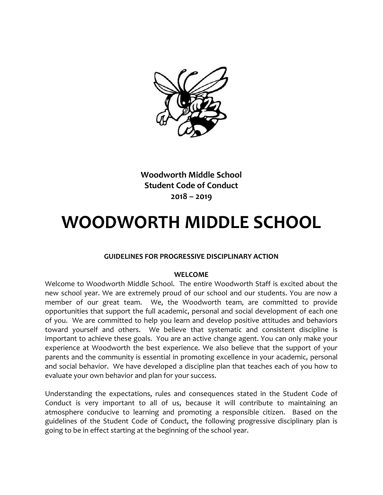

**Woodworth Middle School Student Code of Conduct 2018 – 2019**

# **WOODWORTH MIDDLE SCHOOL**

#### **GUIDELINES FOR PROGRESSIVE DISCIPLINARY ACTION**

#### **WELCOME**

Welcome to Woodworth Middle School. The entire Woodworth Staff is excited about the new school year. We are extremely proud of our school and our students. You are now a member of our great team. We, the Woodworth team, are committed to provide opportunities that support the full academic, personal and social development of each one of you. We are committed to help you learn and develop positive attitudes and behaviors toward yourself and others. We believe that systematic and consistent discipline is important to achieve these goals. You are an active change agent. You can only make your experience at Woodworth the best experience. We also believe that the support of your parents and the community is essential in promoting excellence in your academic, personal and social behavior. We have developed a discipline plan that teaches each of you how to evaluate your own behavior and plan for your success.

Understanding the expectations, rules and consequences stated in the Student Code of Conduct is very important to all of us, because it will contribute to maintaining an atmosphere conducive to learning and promoting a responsible citizen. Based on the guidelines of the Student Code of Conduct, the following progressive disciplinary plan is going to be in effect starting at the beginning of the school year.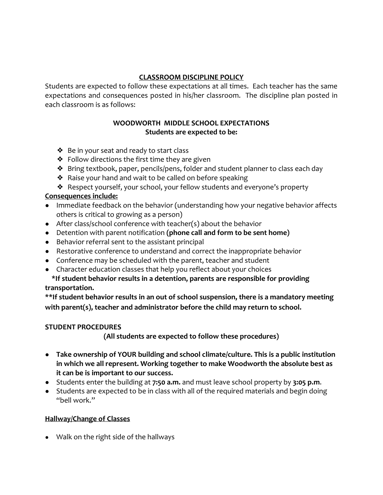# **CLASSROOM DISCIPLINE POLICY**

Students are expected to follow these expectations at all times. Each teacher has the same expectations and consequences posted in his/her classroom. The discipline plan posted in each classroom is as follows:

## **WOODWORTH MIDDLE SCHOOL EXPECTATIONS Students are expected to be:**

- ❖ Be in your seat and ready to start class
- $\triangle$  Follow directions the first time they are given
- ❖ Bring textbook, paper, pencils/pens, folder and student planner to class each day
- ❖ Raise your hand and wait to be called on before speaking
- ❖ Respect yourself, your school, your fellow students and everyone's property

## **Consequences include:**

- Immediate feedback on the behavior (understanding how your negative behavior affects others is critical to growing as a person)
- After class/school conference with teacher(s) about the behavior
- Detention with parent notification **(phone call and form to be sent home)**
- Behavior referral sent to the assistant principal
- Restorative conference to understand and correct the inappropriate behavior
- Conference may be scheduled with the parent, teacher and student
- Character education classes that help you reflect about your choices

## **\*If student behavior results in a detention, parents are responsible for providing transportation.**

**\*\*If student behavior results in an out of school suspension, there is a mandatory meeting with parent(s), teacher and administrator before the child may return to school.** 

#### **STUDENT PROCEDURES**

**(All students are expected to follow these procedures)**

- **Take ownership of YOUR building and school climate/culture. This is a public institution in which we all represent. Working together to make Woodworth the absolute best as it can be is important to our success.**
- Students enter the building at **7:50 a.m.** and must leave school property by **3:05 p.m**.
- Students are expected to be in class with all of the required materials and begin doing "bell work."

#### **Hallway/Change of Classes**

● Walk on the right side of the hallways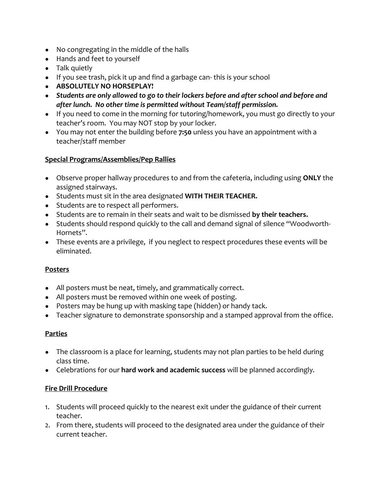- No congregating in the middle of the halls
- Hands and feet to yourself
- Talk quietly
- If you see trash, pick it up and find a garbage can- this is your school
- **ABSOLUTELY NO HORSEPLAY!**
- *Students are only allowed to go to their lockers before and after school and before and after lunch. No other time is permitted without Team/staff permission.*
- If you need to come in the morning for tutoring/homework, you must go directly to your teacher's room. You may NOT stop by your locker.
- You may not enter the building before **7:50** unless you have an appointment with a teacher/staff member

## **Special Programs/Assemblies/Pep Rallies**

- Observe proper hallway procedures to and from the cafeteria, including using **ONLY** the assigned stairways.
- Students must sit in the area designated **WITH THEIR TEACHER.**
- Students are to respect all performers.
- Students are to remain in their seats and wait to be dismissed **by their teachers.**
- Students should respond quickly to the call and demand signal of silence "Woodworth-Hornets".
- These events are a privilege, if you neglect to respect procedures these events will be eliminated.

#### **Posters**

- All posters must be neat, timely, and grammatically correct.
- All posters must be removed within one week of posting.
- Posters may be hung up with masking tape (hidden) or handy tack.
- Teacher signature to demonstrate sponsorship and a stamped approval from the office.

#### **Parties**

- The classroom is a place for learning, students may not plan parties to be held during class time.
- Celebrations for our **hard work and academic success** will be planned accordingly.

#### **Fire Drill Procedure**

- 1. Students will proceed quickly to the nearest exit under the guidance of their current teacher.
- 2. From there, students will proceed to the designated area under the guidance of their current teacher.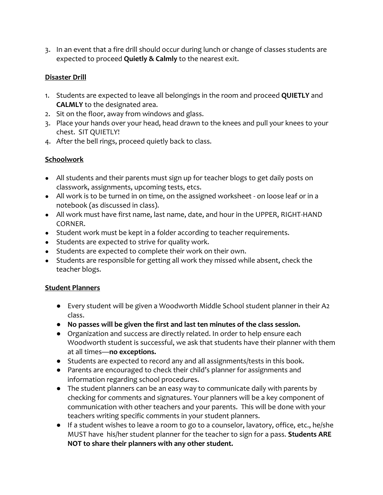3. In an event that a fire drill should occur during lunch or change of classes students are expected to proceed **Quietly & Calmly** to the nearest exit.

# **Disaster Drill**

- 1. Students are expected to leave all belongings in the room and proceed **QUIETLY** and **CALMLY** to the designated area.
- 2. Sit on the floor, away from windows and glass.
- 3. Place your hands over your head, head drawn to the knees and pull your knees to your chest. SIT QUIETLY!
- 4. After the bell rings, proceed quietly back to class.

# **Schoolwork**

- All students and their parents must sign up for teacher blogs to get daily posts on classwork, assignments, upcoming tests, etcs.
- All work is to be turned in on time, on the assigned worksheet on loose leaf or in a notebook (as discussed in class).
- All work must have first name, last name, date, and hour in the UPPER, RIGHT-HAND CORNER.
- Student work must be kept in a folder according to teacher requirements.
- Students are expected to strive for quality work.
- Students are expected to complete their work on their own.
- Students are responsible for getting all work they missed while absent, check the teacher blogs.

# **Student Planners**

- Every student will be given a Woodworth Middle School student planner in their A2 class.
- **No passes will be given the first and last ten minutes of the class session.**
- Organization and success are directly related. In order to help ensure each Woodworth student is successful, we ask that students have their planner with them at all times—**no exceptions.**
- Students are expected to record any and all assignments/tests in this book.
- Parents are encouraged to check their child's planner for assignments and information regarding school procedures.
- The student planners can be an easy way to communicate daily with parents by checking for comments and signatures. Your planners will be a key component of communication with other teachers and your parents. This will be done with your teachers writing specific comments in your student planners.
- If a student wishes to leave a room to go to a counselor, lavatory, office, etc., he/she MUST have his/her student planner for the teacher to sign for a pass. **Students ARE NOT to share their planners with any other student.**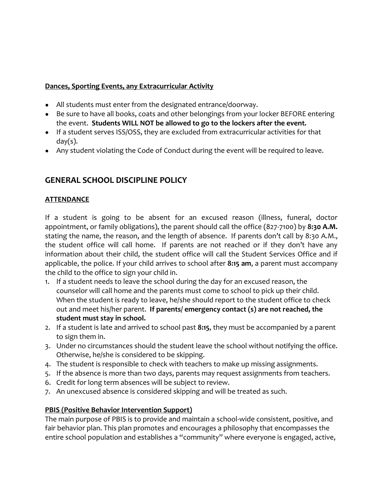## **Dances, Sporting Events, any Extracurricular Activity**

- All students must enter from the designated entrance/doorway.
- Be sure to have all books, coats and other belongings from your locker BEFORE entering the event. **Students WILL NOT be allowed to go to the lockers after the event.**
- If a student serves ISS/OSS, they are excluded from extracurricular activities for that  $day(s)$ .
- Any student violating the Code of Conduct during the event will be required to leave.

# **GENERAL SCHOOL DISCIPLINE POLICY**

## **ATTENDANCE**

If a student is going to be absent for an excused reason (illness, funeral, doctor appointment, or family obligations), the parent should call the office (827-7100) by **8:30 A.M.** stating the name, the reason, and the length of absence. If parents don't call by 8:30 A.M., the student office will call home. If parents are not reached or if they don't have any information about their child, the student office will call the Student Services Office and if applicable, the police. If your child arrives to school after **8:15 am**, a parent must accompany the child to the office to sign your child in.

- 1. If a student needs to leave the school during the day for an excused reason, the counselor will call home and the parents must come to school to pick up their child. When the student is ready to leave, he/she should report to the student office to check out and meet his/her parent. **If parents/ emergency contact (s) are not reached, the student must stay in school.**
- 2. If a student is late and arrived to school past **8:15**, they must be accompanied by a parent to sign them in.
- 3. Under no circumstances should the student leave the school without notifying the office. Otherwise, he/she is considered to be skipping.
- 4. The student is responsible to check with teachers to make up missing assignments.
- 5. If the absence is more than two days, parents may request assignments from teachers.
- 6. Credit for long term absences will be subject to review.
- 7. An unexcused absence is considered skipping and will be treated as such.

#### **PBIS (Positive Behavior Intervention Support)**

The main purpose of PBIS is to provide and maintain a school-wide consistent, positive, and fair behavior plan. This plan promotes and encourages a philosophy that encompasses the entire school population and establishes a "community" where everyone is engaged, active,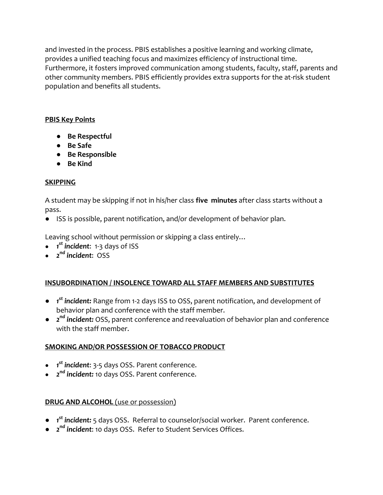and invested in the process. PBIS establishes a positive learning and working climate, provides a unified teaching focus and maximizes efficiency of instructional time. Furthermore, it fosters improved communication among students, faculty, staff, parents and other community members. PBIS efficiently provides extra supports for the at-risk student population and benefits all students.

# **PBIS Key Points**

- **Be Respectful**
- **Be Safe**
- **Be Responsible**
- **Be Kind**

# **SKIPPING**

A student may be skipping if not in his/her class **five minutes** after class starts without a pass.

● ISS is possible, parent notification, and/or development of behavior plan.

Leaving school without permission or skipping a class entirely…

- *1 st incident*: 1-3 days of ISS
- *2 nd incident*: OSS

# **INSUBORDINATION / INSOLENCE TOWARD ALL STAFF MEMBERS AND SUBSTITUTES**

- *1 st incident:* Range from 1-2 days ISS to OSS, parent notification, and development of behavior plan and conference with the staff member.
- 2<sup>nd</sup> *incident:* OSS, parent conference and reevaluation of behavior plan and conference with the staff member.

# **SMOKING AND/OR POSSESSION OF TOBACCO PRODUCT**

- *1 st incident*: 3-5 days OSS. Parent conference.
- *2 nd incident:* 10 days OSS. Parent conference.

# **DRUG AND ALCOHOL** (use or possession)

- *1 st incident:* 5 days OSS. Referral to counselor/social worker. Parent conference.
- *2 nd incident*: 10 days OSS. Refer to Student Services Offices.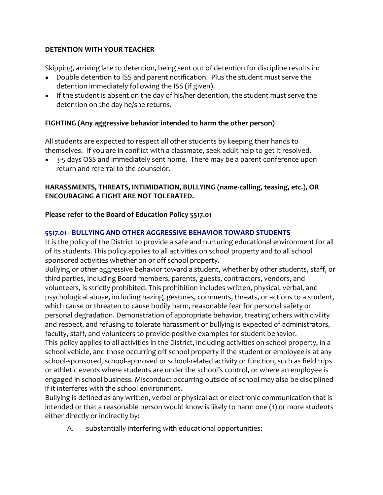## **DETENTION WITH YOUR TEACHER**

Skipping, arriving late to detention, being sent out of detention for discipline results in:

- Double detention to ISS and parent notification. Plus the student must serve the detention immediately following the ISS (if given).
- If the student is absent on the day of his/her detention, the student must serve the detention on the day he/she returns.

# **FIGHTING (Any aggressive behavior intended to harm the other person)**

All students are expected to respect all other students by keeping their hands to themselves. If you are in conflict with a classmate, seek adult help to get it resolved.

● 3-5 days OSS and immediately sent home. There may be a parent conference upon return and referral to the counselor.

# **HARASSMENTS, THREATS, INTIMIDATION, BULLYING (name-calling, teasing, etc.), OR ENCOURAGING A FIGHT ARE NOT TOLERATED.**

## **Please refer to the Board of Education Policy 5517.01**

## **5517.01 - BULLYING AND OTHER AGGRESSIVE BEHAVIOR TOWARD STUDENTS**

It is the policy of the District to provide a safe and nurturing educational environment for all of its students. This policy applies to all activities on school property and to all school sponsored activities whether on or off school property.

Bullying or other aggressive behavior toward a student, whether by other students, staff, or third parties, including Board members, parents, guests, contractors, vendors, and volunteers, is strictly prohibited. This prohibition includes written, physical, verbal, and psychological abuse, including hazing, gestures, comments, threats, or actions to a student, which cause or threaten to cause bodily harm, reasonable fear for personal safety or personal degradation. Demonstration of appropriate behavior, treating others with civility and respect, and refusing to tolerate harassment or bullying is expected of administrators, faculty, staff, and volunteers to provide positive examples for student behavior.

This policy applies to all activities in the District, including activities on school property, in a school vehicle, and those occurring off school property if the student or employee is at any school-sponsored, school-approved or school-related activity or function, such as field trips or athletic events where students are under the school's control, or where an employee is engaged in school business. Misconduct occurring outside of school may also be disciplined if it interferes with the school environment.

Bullying is defined as any written, verbal or physical act or electronic communication that is intended or that a reasonable person would know is likely to harm one (1) or more students either directly or indirectly by:

A. substantially interfering with educational opportunities;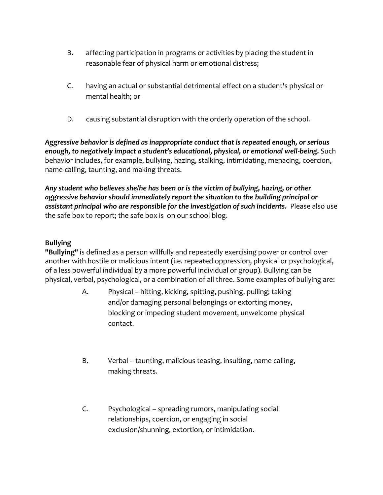- B. affecting participation in programs or activities by placing the student in reasonable fear of physical harm or emotional distress;
- C. having an actual or substantial detrimental effect on a student's physical or mental health; or
- D. causing substantial disruption with the orderly operation of the school.

*Aggressive behavior is defined as inappropriate conduct that is repeated enough, or serious enough, to negatively impact a student's educational, physical, or emotional well-being.* Such behavior includes, for example, bullying, hazing, stalking, intimidating, menacing, coercion, name-calling, taunting, and making threats.

*Any student who believes she/he has been or is the victim of bullying, hazing, or other aggressive behavior should immediately report the situation to the building principal or assistant principal who are responsible for the investigation of such incidents.* Please also use the safe box to report; the safe box is on our school blog.

# **Bullying**

**"Bullying"** is defined as a person willfully and repeatedly exercising power or control over another with hostile or malicious intent (i.e. repeated oppression, physical or psychological, of a less powerful individual by a more powerful individual or group). Bullying can be physical, verbal, psychological, or a combination of all three. Some examples of bullying are:

- A. Physical hitting, kicking, spitting, pushing, pulling; taking and/or damaging personal belongings or extorting money, blocking or impeding student movement, unwelcome physical contact.
- B. Verbal taunting, malicious teasing, insulting, name calling, making threats.
- C. Psychological spreading rumors, manipulating social relationships, coercion, or engaging in social exclusion/shunning, extortion, or intimidation.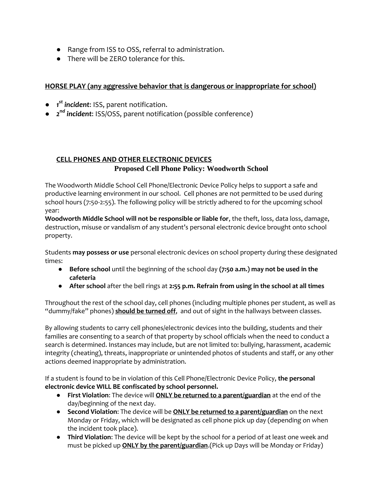- Range from ISS to OSS, referral to administration.
- There will be ZERO tolerance for this.

#### **HORSE PLAY (any aggressive behavior that is dangerous or inappropriate for school)**

- *1 st incident*: ISS, parent notification.
- *2 nd incident*: ISS/OSS, parent notification (possible conference)

#### **CELL PHONES AND OTHER ELECTRONIC DEVICES Proposed Cell Phone Policy: Woodworth School**

The Woodworth Middle School Cell Phone/Electronic Device Policy helps to support a safe and productive learning environment in our school. Cell phones are not permitted to be used during school hours (7:50-2:55). The following policy will be strictly adhered to for the upcoming school year:

**Woodworth Middle School will not be responsible or liable for**, the theft, loss, data loss, damage, destruction, misuse or vandalism of any student's personal electronic device brought onto school property.

Students **may possess or use** personal electronic devices on school property during these designated times:

- **Before school** until the beginning of the school day **(7:50 a.m.) may not be used in the cafeteria**
- **After school** after the bell rings at **2:55 p.m. Refrain from using in the school at all times**

Throughout the rest of the school day, cell phones (including multiple phones per student, as well as "dummy/fake" phones) **should be turned off**, and out of sight in the hallways between classes.

By allowing students to carry cell phones/electronic devices into the building, students and their families are consenting to a search of that property by school officials when the need to conduct a search is determined. Instances may include, but are not limited to: bullying, harassment, academic integrity (cheating), threats, inappropriate or unintended photos of students and staff, or any other actions deemed inappropriate by administration.

If a student is found to be in violation of this Cell Phone/Electronic Device Policy, **the personal electronic device WILL BE confiscated by school personnel.**

- **First Violation**: The device will **ONLY be returned to a parent/guardian** at the end of the day/beginning of the next day.
- **Second Violation**: The device will be **ONLY be returned to a parent/guardian** on the next Monday or Friday, which will be designated as cell phone pick up day (depending on when the incident took place).
- **Third Violation**: The device will be kept by the school for a period of at least one week and must be picked up **ONLY by the parent/guardian**.(Pick up Days will be Monday or Friday)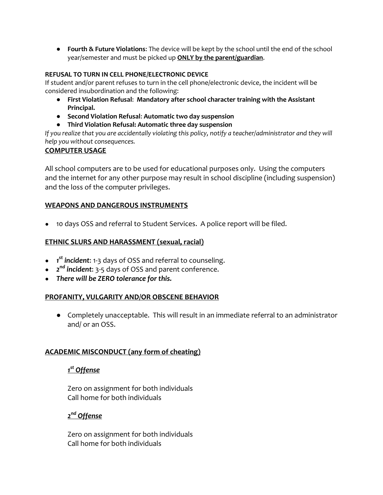● **Fourth & Future Violations**: The device will be kept by the school until the end of the school year/semester and must be picked up **ONLY by the parent/guardian**.

#### **REFUSAL TO TURN IN CELL PHONE/ELECTRONIC DEVICE**

If student and/or parent refuses to turn in the cell phone/electronic device, the incident will be considered insubordination and the following:

- **First Violation Refusal**: **Mandatory after school character training with the Assistant Principal.**
- **Second Violation Refusal**: **Automatic two day suspension**
- **Third Violation Refusal: Automatic three day suspension**

*If you realize that you are accidentally violating this policy, notify a teacher/administrator and they will help you without consequences.*

#### **COMPUTER USAGE**

All school computers are to be used for educational purposes only. Using the computers and the internet for any other purpose may result in school discipline (including suspension) and the loss of the computer privileges.

#### **WEAPONS AND DANGEROUS INSTRUMENTS**

● 10 days OSS and referral to Student Services. A police report will be filed.

#### **ETHNIC SLURS AND HARASSMENT (sexual, racial)**

- *1 st incident*: 1-3 days of OSS and referral to counseling.
- *2 nd incident*: 3-5 days of OSS and parent conference.
- *There will be ZERO tolerance for this.*

#### **PROFANITY, VULGARITY AND/OR OBSCENE BEHAVIOR**

● Completely unacceptable. This will result in an immediate referral to an administrator and/ or an OSS.

#### **ACADEMIC MISCONDUCT (any form of cheating)**

# *1 st Offense*

Zero on assignment for both individuals Call home for both individuals

*2 nd Offense*

Zero on assignment for both individuals Call home for both individuals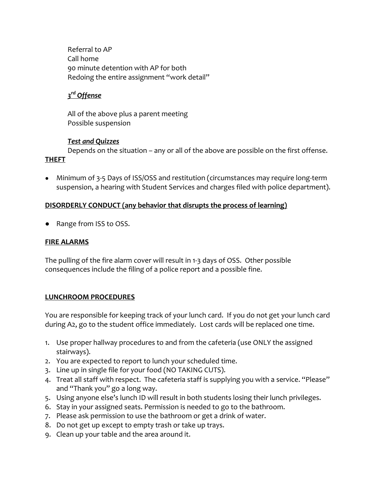Referral to AP Call home 90 minute detention with AP for both Redoing the entire assignment "work detail"

# *3 rd Offense*

All of the above plus a parent meeting Possible suspension

#### *Test and Quizzes*

Depends on the situation – any or all of the above are possible on the first offense. **THEFT**

• Minimum of 3-5 Days of ISS/OSS and restitution (circumstances may require long-term suspension, a hearing with Student Services and charges filed with police department).

# **DISORDERLY CONDUCT (any behavior that disrupts the process of learning)**

● Range from ISS to OSS.

# **FIRE ALARMS**

The pulling of the fire alarm cover will result in 1-3 days of OSS. Other possible consequences include the filing of a police report and a possible fine.

# **LUNCHROOM PROCEDURES**

You are responsible for keeping track of your lunch card. If you do not get your lunch card during A2, go to the student office immediately. Lost cards will be replaced one time.

- 1. Use proper hallway procedures to and from the cafeteria (use ONLY the assigned stairways).
- 2. You are expected to report to lunch your scheduled time.
- 3. Line up in single file for your food (NO TAKING CUTS).
- 4. Treat all staff with respect. The cafeteria staff is supplying you with a service. "Please" and "Thank you" go a long way.
- 5. Using anyone else's lunch ID will result in both students losing their lunch privileges.
- 6. Stay in your assigned seats. Permission is needed to go to the bathroom.
- 7. Please ask permission to use the bathroom or get a drink of water.
- 8. Do not get up except to empty trash or take up trays.
- 9. Clean up your table and the area around it.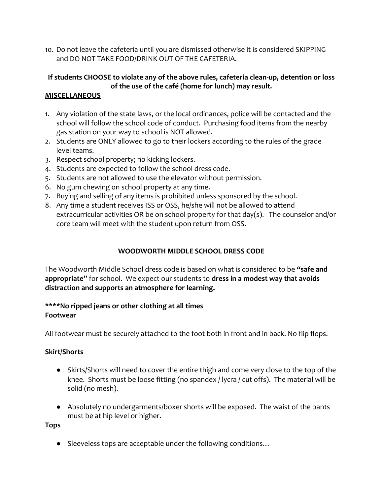10. Do not leave the cafeteria until you are dismissed otherwise it is considered SKIPPING and DO NOT TAKE FOOD/DRINK OUT OF THE CAFETERIA.

# **If students CHOOSE to violate any of the above rules, cafeteria clean-up, detention or loss of the use of the café (home for lunch) may result.**

# **MISCELLANEOUS**

- 1. Any violation of the state laws, or the local ordinances, police will be contacted and the school will follow the school code of conduct. Purchasing food items from the nearby gas station on your way to school is NOT allowed.
- 2. Students are ONLY allowed to go to their lockers according to the rules of the grade level teams.
- 3. Respect school property; no kicking lockers.
- 4. Students are expected to follow the school dress code.
- 5. Students are not allowed to use the elevator without permission.
- 6. No gum chewing on school property at any time.
- 7. Buying and selling of any items is prohibited unless sponsored by the school.
- 8. Any time a student receives ISS or OSS, he/she will not be allowed to attend extracurricular activities OR be on school property for that day(s). The counselor and/or core team will meet with the student upon return from OSS.

# **WOODWORTH MIDDLE SCHOOL DRESS CODE**

The Woodworth Middle School dress code is based on what is considered to be **"safe and appropriate"** for school. We expect our students to **dress in a modest way that avoids distraction and supports an atmosphere for learning.**

# **\*\*\*\*No ripped jeans or other clothing at all times Footwear**

All footwear must be securely attached to the foot both in front and in back. No flip flops.

# **Skirt/Shorts**

- Skirts/Shorts will need to cover the entire thigh and come very close to the top of the knee. Shorts must be loose fitting (no spandex / lycra / cut offs). The material will be solid (no mesh).
- Absolutely no undergarments/boxer shorts will be exposed. The waist of the pants must be at hip level or higher.

**Tops**

● Sleeveless tops are acceptable under the following conditions…